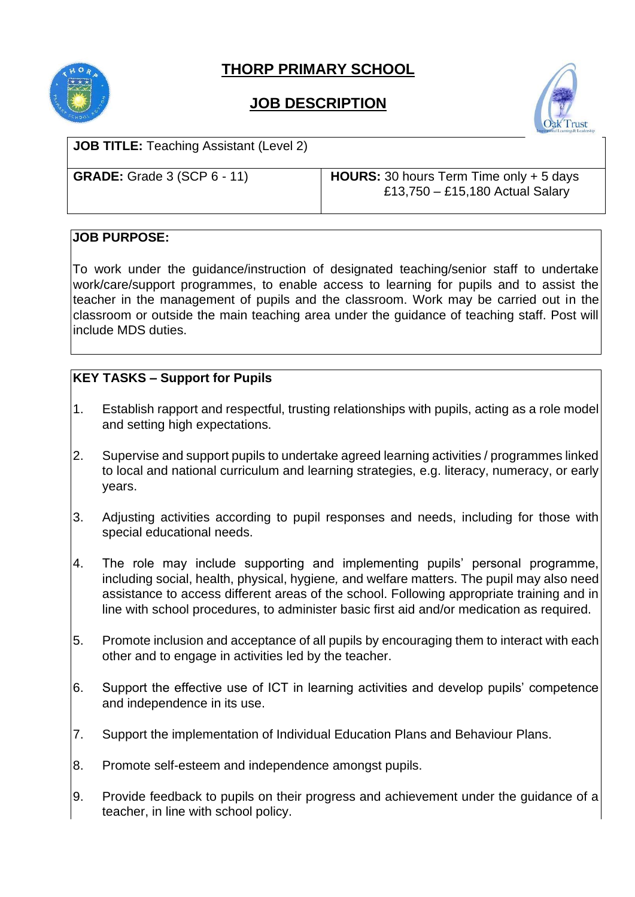## **THORP PRIMARY SCHOOL**



## **JOB DESCRIPTION**



## **JOB TITLE:** Teaching Assistant (Level 2)

**GRADE:** Grade 3 (SCP 6 - 11)

**HOURS:** 30 hours Term Time only + 5 days £13,750 – £15,180 Actual Salary

### **JOB PURPOSE:**

To work under the guidance/instruction of designated teaching/senior staff to undertake work/care/support programmes, to enable access to learning for pupils and to assist the teacher in the management of pupils and the classroom. Work may be carried out in the classroom or outside the main teaching area under the guidance of teaching staff. Post will include MDS duties.

## **KEY TASKS – Support for Pupils**

- 1. Establish rapport and respectful, trusting relationships with pupils, acting as a role model and setting high expectations.
- 2. Supervise and support pupils to undertake agreed learning activities / programmes linked to local and national curriculum and learning strategies, e.g. literacy, numeracy, or early years.
- 3. Adjusting activities according to pupil responses and needs, including for those with special educational needs.
- 4. The role may include supporting and implementing pupils' personal programme, including social, health, physical, hygiene*,* and welfare matters. The pupil may also need assistance to access different areas of the school. Following appropriate training and in line with school procedures, to administer basic first aid and/or medication as required.
- 5. Promote inclusion and acceptance of all pupils by encouraging them to interact with each other and to engage in activities led by the teacher.
- 6. Support the effective use of ICT in learning activities and develop pupils' competence and independence in its use.
- 7. Support the implementation of Individual Education Plans and Behaviour Plans.
- 8. Promote self-esteem and independence amongst pupils.
- 9. Provide feedback to pupils on their progress and achievement under the guidance of a teacher, in line with school policy.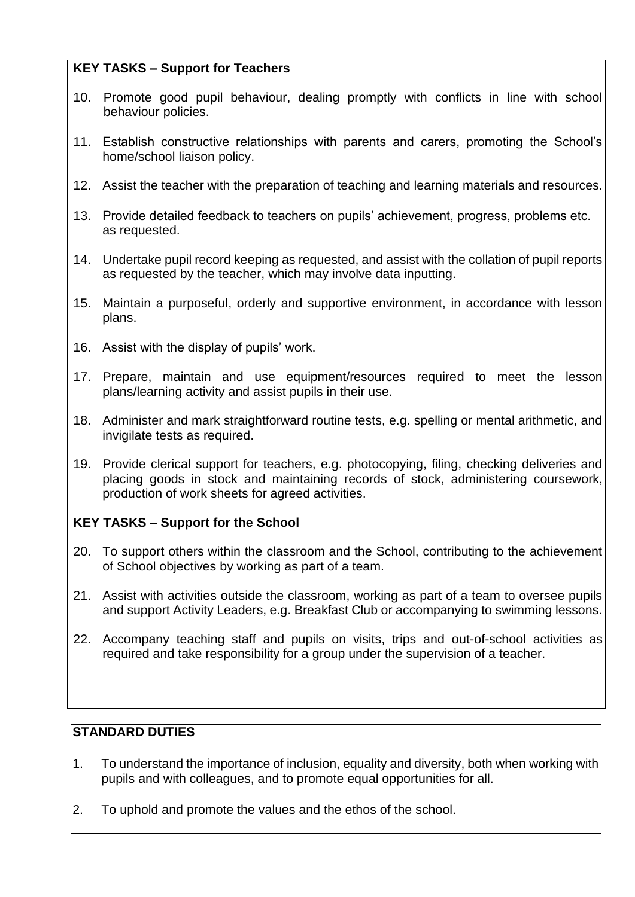## **KEY TASKS – Support for Teachers**

- 10. Promote good pupil behaviour, dealing promptly with conflicts in line with school behaviour policies.
- 11. Establish constructive relationships with parents and carers, promoting the School's home/school liaison policy.
- 12. Assist the teacher with the preparation of teaching and learning materials and resources.
- 13. Provide detailed feedback to teachers on pupils' achievement, progress, problems etc. as requested.
- 14. Undertake pupil record keeping as requested, and assist with the collation of pupil reports as requested by the teacher, which may involve data inputting.
- 15. Maintain a purposeful, orderly and supportive environment, in accordance with lesson plans.
- 16. Assist with the display of pupils' work.
- 17. Prepare, maintain and use equipment/resources required to meet the lesson plans/learning activity and assist pupils in their use.
- 18. Administer and mark straightforward routine tests, e.g. spelling or mental arithmetic, and invigilate tests as required.
- 19. Provide clerical support for teachers, e.g. photocopying, filing, checking deliveries and placing goods in stock and maintaining records of stock, administering coursework, production of work sheets for agreed activities.

#### **KEY TASKS – Support for the School**

- 20. To support others within the classroom and the School, contributing to the achievement of School objectives by working as part of a team.
- 21. Assist with activities outside the classroom, working as part of a team to oversee pupils and support Activity Leaders, e.g. Breakfast Club or accompanying to swimming lessons.
- 22. Accompany teaching staff and pupils on visits, trips and out-of-school activities as required and take responsibility for a group under the supervision of a teacher.

## **STANDARD DUTIES**

- 1. To understand the importance of inclusion, equality and diversity, both when working with pupils and with colleagues, and to promote equal opportunities for all.
- 2. To uphold and promote the values and the ethos of the school.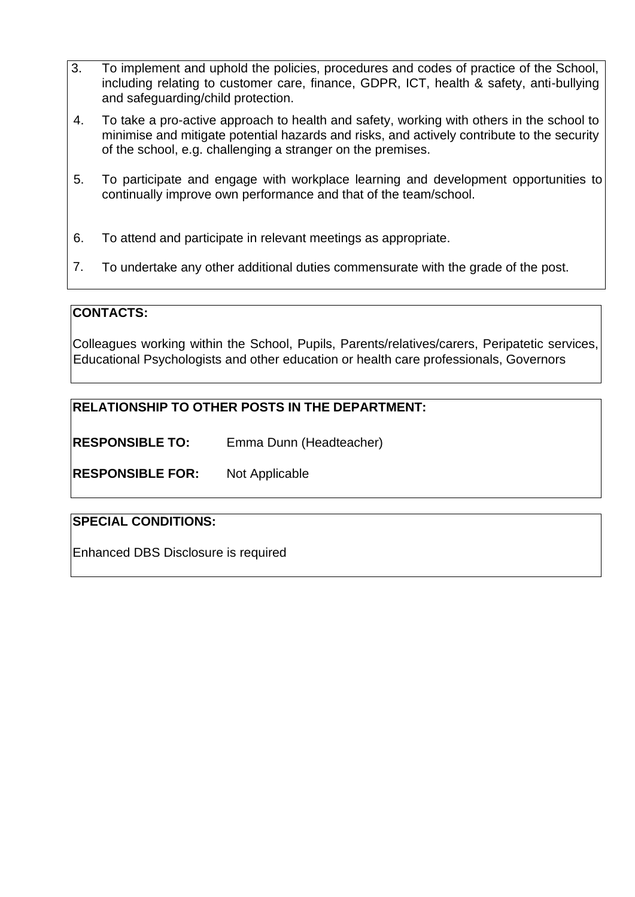- 3. To implement and uphold the policies, procedures and codes of practice of the School, including relating to customer care, finance, GDPR, ICT, health & safety, anti-bullying and safeguarding/child protection.
- 4. To take a pro-active approach to health and safety, working with others in the school to minimise and mitigate potential hazards and risks, and actively contribute to the security of the school, e.g. challenging a stranger on the premises.
- 5. To participate and engage with workplace learning and development opportunities to continually improve own performance and that of the team/school.
- 6. To attend and participate in relevant meetings as appropriate.
- 7. To undertake any other additional duties commensurate with the grade of the post.

#### **CONTACTS:**

Colleagues working within the School, Pupils, Parents/relatives/carers, Peripatetic services, Educational Psychologists and other education or health care professionals, Governors

## **RELATIONSHIP TO OTHER POSTS IN THE DEPARTMENT:**

**RESPONSIBLE TO:** Emma Dunn (Headteacher)

**RESPONSIBLE FOR:** Not Applicable

#### **SPECIAL CONDITIONS:**

Enhanced DBS Disclosure is required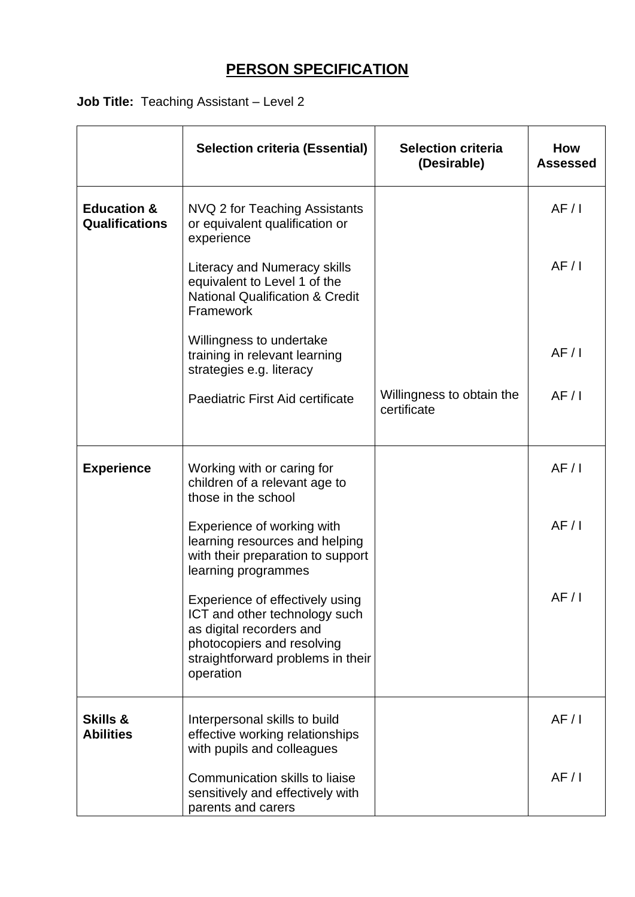# **PERSON SPECIFICATION**

**Job Title:** Teaching Assistant – Level 2

|                                                 | <b>Selection criteria (Essential)</b>                                                                                                                                        | <b>Selection criteria</b><br>(Desirable) | <b>How</b><br><b>Assessed</b> |
|-------------------------------------------------|------------------------------------------------------------------------------------------------------------------------------------------------------------------------------|------------------------------------------|-------------------------------|
| <b>Education &amp;</b><br><b>Qualifications</b> | NVQ 2 for Teaching Assistants<br>or equivalent qualification or<br>experience                                                                                                |                                          | AF/1                          |
|                                                 | <b>Literacy and Numeracy skills</b><br>equivalent to Level 1 of the<br><b>National Qualification &amp; Credit</b><br>Framework                                               |                                          | AF/1                          |
|                                                 | Willingness to undertake<br>training in relevant learning<br>strategies e.g. literacy                                                                                        |                                          | AF/1                          |
|                                                 | Paediatric First Aid certificate                                                                                                                                             | Willingness to obtain the<br>certificate | AF/1                          |
| <b>Experience</b>                               | Working with or caring for<br>children of a relevant age to<br>those in the school                                                                                           |                                          | AF/1                          |
|                                                 | Experience of working with<br>learning resources and helping<br>with their preparation to support<br>learning programmes                                                     |                                          | AF/1                          |
|                                                 | Experience of effectively using<br>ICT and other technology such<br>as digital recorders and<br>photocopiers and resolving<br>straightforward problems in their<br>operation |                                          | AF/I                          |
| Skills &<br><b>Abilities</b>                    | Interpersonal skills to build<br>effective working relationships<br>with pupils and colleagues                                                                               |                                          | AF/1                          |
|                                                 | Communication skills to liaise<br>sensitively and effectively with<br>parents and carers                                                                                     |                                          | AF/1                          |